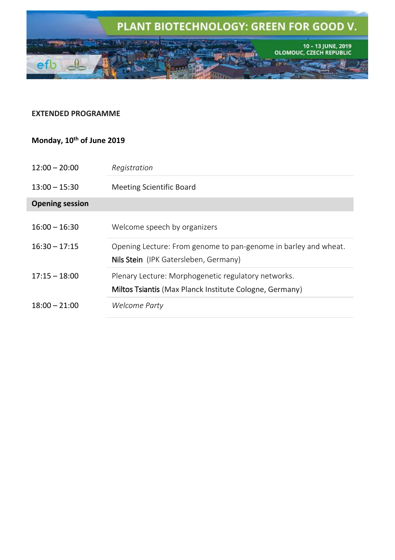

# **EXTENDED PROGRAMME**

## **Monday, 10 th of June 2019**

| $12:00 - 20:00$        | Registration                                                                                                   |
|------------------------|----------------------------------------------------------------------------------------------------------------|
| $13:00 - 15:30$        | <b>Meeting Scientific Board</b>                                                                                |
| <b>Opening session</b> |                                                                                                                |
| $16:00 - 16:30$        | Welcome speech by organizers                                                                                   |
| $16:30 - 17:15$        | Opening Lecture: From genome to pan-genome in barley and wheat.<br>Nils Stein (IPK Gatersleben, Germany)       |
| $17:15 - 18:00$        | Plenary Lecture: Morphogenetic regulatory networks.<br>Miltos Tsiantis (Max Planck Institute Cologne, Germany) |
| $18:00 - 21:00$        | Welcome Party                                                                                                  |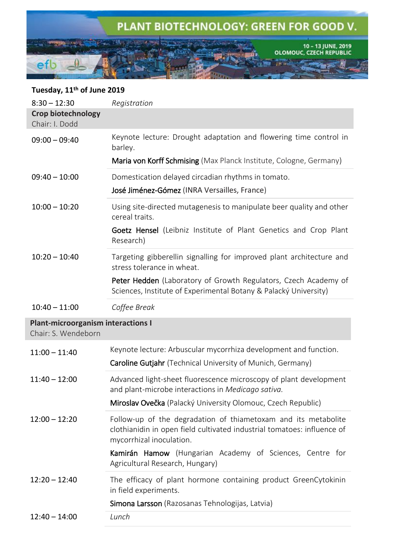

# **Tuesday, 11th of June 2019**

I

| $8:30 - 12:30$                                                   | Registration                                                                                                                                                          |
|------------------------------------------------------------------|-----------------------------------------------------------------------------------------------------------------------------------------------------------------------|
| Crop biotechnology<br>Chair: I. Dodd                             |                                                                                                                                                                       |
| $09:00 - 09:40$                                                  | Keynote lecture: Drought adaptation and flowering time control in<br>barley.                                                                                          |
|                                                                  | Maria von Korff Schmising (Max Planck Institute, Cologne, Germany)                                                                                                    |
| $09:40 - 10:00$                                                  | Domestication delayed circadian rhythms in tomato.                                                                                                                    |
|                                                                  | José Jiménez-Gómez (INRA Versailles, France)                                                                                                                          |
| $10:00 - 10:20$                                                  | Using site-directed mutagenesis to manipulate beer quality and other<br>cereal traits.                                                                                |
|                                                                  | Goetz Hensel (Leibniz Institute of Plant Genetics and Crop Plant<br>Research)                                                                                         |
| $10:20 - 10:40$                                                  | Targeting gibberellin signalling for improved plant architecture and<br>stress tolerance in wheat.                                                                    |
|                                                                  | Peter Hedden (Laboratory of Growth Regulators, Czech Academy of<br>Sciences, Institute of Experimental Botany & Palacký University)                                   |
| $10:40 - 11:00$                                                  | Coffee Break                                                                                                                                                          |
| <b>Plant-microorganism interactions I</b><br>Chair: S. Wendeborn |                                                                                                                                                                       |
| $11:00 - 11:40$                                                  | Keynote lecture: Arbuscular mycorrhiza development and function.                                                                                                      |
|                                                                  | Caroline Gutjahr (Technical University of Munich, Germany)                                                                                                            |
| $11:40 - 12:00$                                                  | Advanced light-sheet fluorescence microscopy of plant development<br>and plant-microbe interactions in Medicago sativa.                                               |
|                                                                  | Miroslav Ovečka (Palacký University Olomouc, Czech Republic)                                                                                                          |
| $12:00 - 12:20$                                                  | Follow-up of the degradation of thiametoxam and its metabolite<br>clothianidin in open field cultivated industrial tomatoes: influence of<br>mycorrhizal inoculation. |
|                                                                  | Kamirán Hamow (Hungarian Academy of Sciences, Centre for<br>Agricultural Research, Hungary)                                                                           |
| $12:20 - 12:40$                                                  | The efficacy of plant hormone containing product GreenCytokinin<br>in field experiments.                                                                              |
|                                                                  | Simona Larsson (Razosanas Tehnologijas, Latvia)                                                                                                                       |
| $12:40 - 14:00$                                                  | Lunch                                                                                                                                                                 |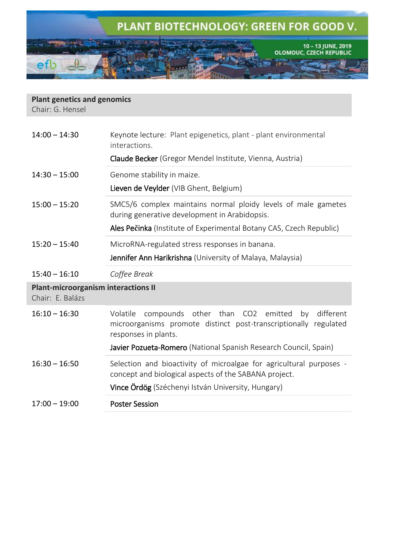

| <b>Plant genetics and genomics</b><br>Chair: G. Hensel         |                                                                                                                                                                                                                                       |  |
|----------------------------------------------------------------|---------------------------------------------------------------------------------------------------------------------------------------------------------------------------------------------------------------------------------------|--|
| $14:00 - 14:30$                                                | Keynote lecture: Plant epigenetics, plant - plant environmental<br>interactions.<br><b>Claude Becker</b> (Gregor Mendel Institute, Vienna, Austria)                                                                                   |  |
| $14:30 - 15:00$                                                | Genome stability in maize.<br>Lieven de Veylder (VIB Ghent, Belgium)                                                                                                                                                                  |  |
| $15:00 - 15:20$                                                | SMC5/6 complex maintains normal ploidy levels of male gametes<br>during generative development in Arabidopsis.<br>Ales Pečinka (Institute of Experimental Botany CAS, Czech Republic)                                                 |  |
| $15:20 - 15:40$                                                | MicroRNA-regulated stress responses in banana.<br>Jennifer Ann Harikrishna (University of Malaya, Malaysia)                                                                                                                           |  |
| $15:40 - 16:10$                                                | Coffee Break                                                                                                                                                                                                                          |  |
| <b>Plant-microorganism interactions II</b><br>Chair: E. Balázs |                                                                                                                                                                                                                                       |  |
| $16:10 - 16:30$                                                | other than CO2<br>different<br>Volatile<br>compounds<br>emitted<br>by<br>microorganisms promote distinct post-transcriptionally regulated<br>responses in plants.<br>Javier Pozueta-Romero (National Spanish Research Council, Spain) |  |
|                                                                |                                                                                                                                                                                                                                       |  |
| $16:30 - 16:50$                                                | Selection and bioactivity of microalgae for agricultural purposes -<br>concept and biological aspects of the SABANA project.<br><b>Vince Ördög</b> (Széchenyi István University, Hungary)                                             |  |
|                                                                |                                                                                                                                                                                                                                       |  |

17:00 – 19:00 Poster Session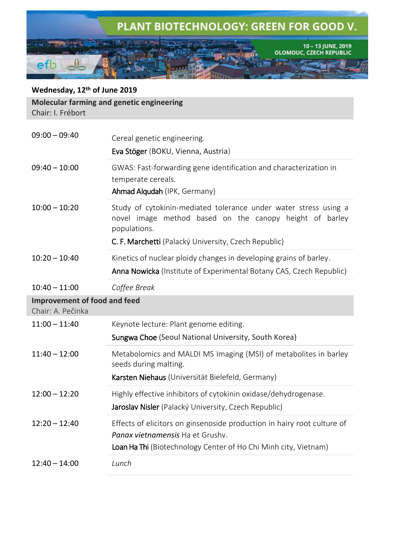

### **Wednesday, 12 th of June 2019**

**Molecular farming and genetic engineering** Chair: I. Frébort

| $09:00 - 09:40$                                   | Cereal genetic engineering.<br>Eva Stöger (BOKU, Vienna, Austria)                                                                                                              |
|---------------------------------------------------|--------------------------------------------------------------------------------------------------------------------------------------------------------------------------------|
| $09:40 - 10:00$                                   | GWAS: Fast-forwarding gene identification and characterization in<br>temperate cereals.<br>Ahmad Alqudah (IPK, Germany)                                                        |
| $10:00 - 10:20$                                   | Study of cytokinin-mediated tolerance under water stress using a<br>novel image method based on the canopy height of barley<br>populations.                                    |
|                                                   | C. F. Marchetti (Palacký University, Czech Republic)                                                                                                                           |
| $10:20 - 10:40$                                   | Kinetics of nuclear ploidy changes in developing grains of barley.<br><b>Anna Nowicka</b> (Institute of Experimental Botany CAS, Czech Republic)                               |
| $10:40 - 11:00$                                   | Coffee Break                                                                                                                                                                   |
| Improvement of food and feed<br>Chair: A. Pečinka |                                                                                                                                                                                |
| $11:00 - 11:40$                                   | Keynote lecture: Plant genome editing.                                                                                                                                         |
|                                                   | Sungwa Choe (Seoul National University, South Korea)                                                                                                                           |
| $11:40 - 12:00$                                   | Metabolomics and MALDI MS Imaging (MSI) of metabolites in barley<br>seeds during malting.                                                                                      |
|                                                   | Karsten Niehaus (Universität Bielefeld, Germany)                                                                                                                               |
| $12:00 - 12:20$                                   | Highly effective inhibitors of cytokinin oxidase/dehydrogenase.<br>Jaroslav Nisler (Palacký University, Czech Republic)                                                        |
| $12:20 - 12:40$                                   | Effects of elicitors on ginsenoside production in hairy root culture of<br>Panax vietnamensis Ha et Grushy.<br>Loan Ha Thi (Biotechnology Center of Ho Chi Minh city, Vietnam) |
| $12:40 - 14:00$                                   | Lunch                                                                                                                                                                          |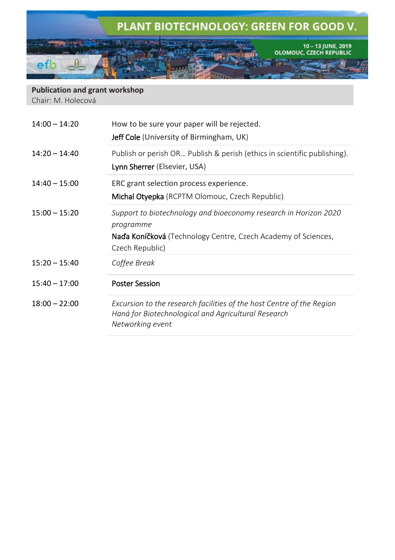

**Publication and grant workshop** Chair: M. Holecová

| $14:00 - 14:20$ | How to be sure your paper will be rejected.<br><b>Jeff Cole</b> (University of Birmingham, UK)                                                                           |
|-----------------|--------------------------------------------------------------------------------------------------------------------------------------------------------------------------|
| $14:20 - 14:40$ | Publish or perish OR Publish & perish (ethics in scientific publishing).<br>Lynn Sherrer (Elsevier, USA)                                                                 |
| $14:40 - 15:00$ | ERC grant selection process experience.<br><b>Michal Otyepka</b> (RCPTM Olomouc, Czech Republic)                                                                         |
| $15:00 - 15:20$ | Support to biotechnology and bioeconomy research in Horizon 2020<br>programme<br><b>Naďa Koníčková</b> (Technology Centre, Czech Academy of Sciences,<br>Czech Republic) |
| $15:20 - 15:40$ | Coffee Break                                                                                                                                                             |
| $15:40 - 17:00$ | <b>Poster Session</b>                                                                                                                                                    |
| $18:00 - 22:00$ | Excursion to the research facilities of the host Centre of the Region<br>Haná for Biotechnological and Agricultural Research<br>Networking event                         |